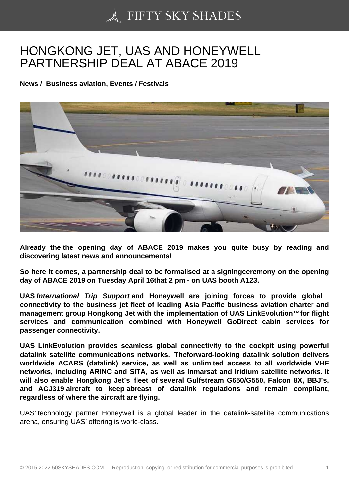## [HONGKONG JET, UAS](https://50skyshades.com) AND HONEYWELL PARTNERSHIP DEAL AT ABACE 2019

News / Business aviation, Events / Festivals

Already the the opening day of ABACE 2019 makes you quite busy by reading and discovering latest news and announcements!

So here it comes, a partnership deal to be formalised at a signingceremony on the opening day of ABACE 2019 on Tuesday April 16that 2 pm - on UAS booth A123.

UAS International Trip Support and Honeywell are joining forces to provide global connectivity to the business jet fleet of leading Asia Pacific business aviation charter and management group Hongkong Jet with the implementation of UAS LinkEvolution<sup>™</sup>for flight services and communication combined with Honeywell GoDirect cabin services for passenger connectivity.

UAS LinkEvolution provides seamless global connectivity to the cockpit using powerful datalink satellite communications networks. Theforward-looking datalink solution delivers worldwide ACARS (datalink) service, as well as unlimited access to all worldwide VHF networks, including ARINC and SITA, as well as Inmarsat and Iridium satellite networks. It will also enable Hongkong Jet's fleet of several Gulfstream G650/G550, Falcon 8X, BBJ's, and ACJ319 aircraft to keep abreast of datalink regulations and remain compliant, regardless of where the aircraft are flying.

UAS' technology partner Honeywell is a global leader in the datalink-satellite communications arena, ensuring UAS' offering is world-class.